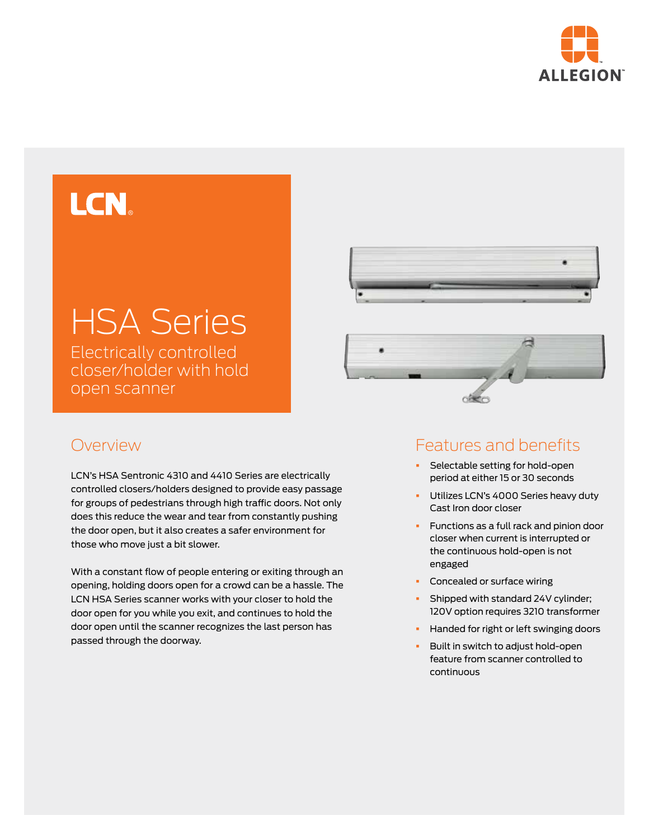

# LCN.

# HSA Series

Electrically controlled closer/holder with hold open scanner

ofice

#### Overview

LCN's HSA Sentronic 4310 and 4410 Series are electrically controlled closers/holders designed to provide easy passage for groups of pedestrians through high traffic doors. Not only does this reduce the wear and tear from constantly pushing the door open, but it also creates a safer environment for those who move just a bit slower.

With a constant flow of people entering or exiting through an opening, holding doors open for a crowd can be a hassle. The LCN HSA Series scanner works with your closer to hold the door open for you while you exit, and continues to hold the door open until the scanner recognizes the last person has passed through the doorway.

## Features and benefits

- Selectable setting for hold-open period at either 15 or 30 seconds
- **•** Utilizes LCN's 4000 Series heavy duty Cast Iron door closer
- § Functions as a full rack and pinion door closer when current is interrupted or the continuous hold-open is not engaged
- **•** Concealed or surface wiring
- § Shipped with standard 24V cylinder; 120V option requires 3210 transformer
- § Handed for right or left swinging doors
- § Built in switch to adjust hold-open feature from scanner controlled to continuous